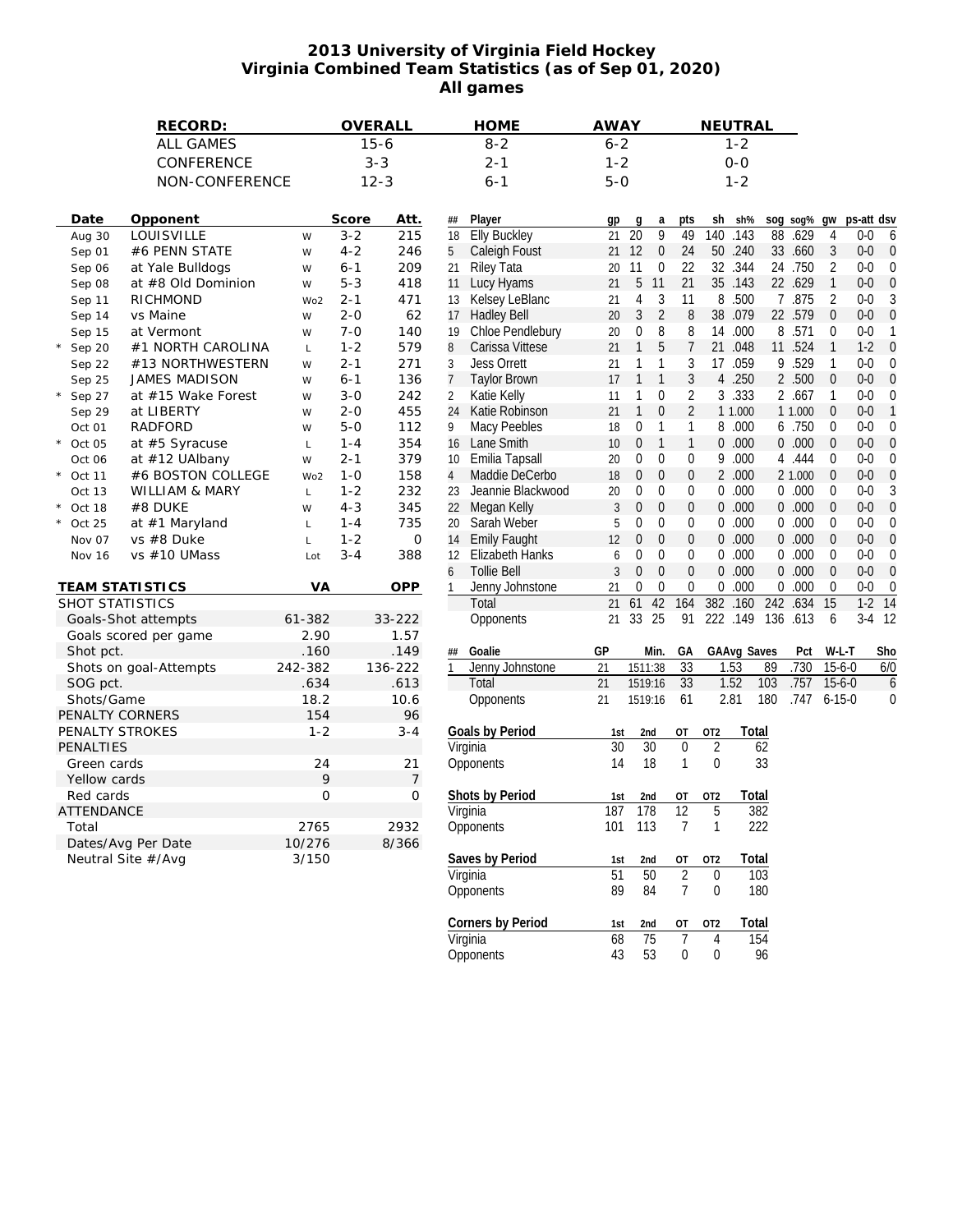## **2013 University of Virginia Field Hockey Virginia Combined Team Statistics (as of Sep 01, 2020) All games**

|                                        | RECORD:                              |             | OVERALL        |              | <b>HOME</b>              | <b>AWAY</b> |                                  |                      | NEUTRAL         |                 |                        |                  |            |     |
|----------------------------------------|--------------------------------------|-------------|----------------|--------------|--------------------------|-------------|----------------------------------|----------------------|-----------------|-----------------|------------------------|------------------|------------|-----|
|                                        | <b>ALL GAMES</b>                     | $15 - 6$    |                |              | $8 - 2$                  |             | $6 - 2$                          |                      | $1 - 2$         |                 |                        |                  |            |     |
|                                        | CONFERENCE                           | $3 - 3$     |                |              | $2 - 1$                  |             | $1 - 2$                          |                      | $0 - 0$         |                 |                        |                  |            |     |
|                                        | NON-CONFERENCE                       |             | $12 - 3$       |              | $6 - 1$                  | $5 - 0$     |                                  |                      | $1 - 2$         |                 |                        |                  |            |     |
|                                        |                                      |             |                |              |                          |             |                                  |                      |                 |                 |                        |                  |            |     |
| Date<br>Opponent                       |                                      | Score       | Att.           |              | Player                   |             |                                  |                      | sh              | sh%             |                        |                  | ps-att dsv |     |
| LOUISVILLE<br>Aug 30                   | W                                    | $3 - 2$     | 215            | ##<br>18     | <b>Elly Buckley</b>      | gp<br>21    | g<br>a<br>9<br>$\overline{20}$   | pts<br>49            | 140             | .143            | sog sog%<br>88<br>.629 | gw<br>4          | $0-0$      | 6   |
| #6 PENN STATE<br>Sep 01                | W                                    | $4 - 2$     | 246            | 5            | Caleigh Foust            | 21 12       | $\mathbf 0$                      | 24                   | 50              | .240            | 33 .660                | 3                | $0-0$      | 0   |
| at Yale Bulldogs<br>Sep 06             | W                                    | $6 - 1$     | 209            | 21           | <b>Riley Tata</b>        | 20          | 11<br>$\mathbf 0$                | 22                   | 32              | .344            | 24 .750                | $\overline{2}$   | $0 - 0$    | 0   |
| Sep 08                                 | at #8 Old Dominion<br>W              | $5 - 3$     | 418            | 11           | Lucy Hyams               | 21          | 5<br>11                          | 21                   | 35 .143         |                 | 22 .629                | $\mathbf{1}$     | $0 - 0$    | 0   |
| RICHMOND<br>Sep 11                     | Wo <sub>2</sub>                      | $2 - 1$     | 471            | 13           | Kelsey LeBlanc           | 21          | 4<br>3                           | 11                   | 8               | .500            | 7 .875                 | 2                | $0-0$      |     |
| vs Maine<br>Sep 14                     | W                                    | $2 - 0$     | 62             | 17           | <b>Hadley Bell</b>       | 20          | $\overline{2}$<br>3              | 8                    | 38              | .079            | 22 .579                | $\mathbf{0}$     | $0-0$      | 0   |
| Sep 15<br>at Vermont                   | W                                    | $7 - 0$     | 140            | 19           | Chloe Pendlebury         | 20          | 0<br>8                           | 8                    | 14              | .000            | 8 .571                 | $\mathbf 0$      | $0 - 0$    |     |
| Sep 20                                 | #1 NORTH CAROLINA<br>L               | $1 - 2$     | 579            | 8            | Carissa Vittese          | 21          | $\mathbf{1}$<br>5                | 7                    | 21              | .048            | 11 .524                | $\mathbf{1}$     | $1-2$      | 0   |
|                                        | #13 NORTHWESTERN                     | $2 - 1$     | 271            | 3            | <b>Jess Orrett</b>       | 21          | 1<br>1                           | 3                    | 17              | .059            | 9.529                  | 1                | $0 - 0$    |     |
| Sep 22<br><b>JAMES MADISON</b>         | W<br>W                               | $6 - 1$     | 136            | 7            | <b>Taylor Brown</b>      | 17          | $\mathbf{1}$<br>$\mathbf{1}$     | 3                    | 4               | .250            | 2 .500                 | $\mathbf{0}$     | $0 - 0$    | 0   |
| Sep 25                                 |                                      | $3 - 0$     |                |              | Katie Kelly              |             | $\boldsymbol{0}$<br>1            |                      | 3               | .333            | 2 .667                 | 1                | $0-0$      |     |
| Sep 27                                 | at #15 Wake Forest<br>W              |             | 242            | 2            | Katie Robinson           | 11<br>21    | 1<br>$\mathbf{0}$                | 2<br>$\overline{2}$  | 1 1.000         |                 |                        | $\boldsymbol{0}$ | $0 - 0$    |     |
| at LIBERTY<br>Sep 29<br><b>RADFORD</b> | W                                    | $2 - 0$     | 455            | 24           | <b>Macy Peebles</b>      |             | 1                                |                      |                 |                 | 1 1.000                | $\mathbf 0$      |            |     |
| Oct 01                                 | W                                    | $5 - 0$     | 112            | 9            |                          | 18          | 0<br>$\mathbf{1}$                | 1                    | 8               | .000            | 6 .750                 | $\mathbf{0}$     | $0 - 0$    |     |
| at #5 Syracuse<br>Oct 05               | L                                    | $1 - 4$     | 354            | 16           | <b>Lane Smith</b>        | 10          | 0<br>0<br>$\mathbf{0}$           | $\mathbf{1}$         | 0               | .000            | 0.000                  |                  | $0 - 0$    |     |
| at #12 UAlbany<br>Oct 06               | W                                    | $2 - 1$     | 379            | 10           | Emilia Tapsall           | 20          |                                  | 0                    | 9               | .000            | 4.444                  | $\mathbf 0$      | $0-0$      |     |
| Oct 11                                 | #6 BOSTON COLLEGE<br>Wo <sub>2</sub> | $1 - 0$     | 158            | 4            | Maddie DeCerbo           | 18          | 0<br>$\mathbf 0$                 | 0                    | $\overline{2}$  | .000            | 2 1.000                | $\mathbf{0}$     | $0 - 0$    |     |
| WILLIAM & MARY<br>Oct 13               | L                                    | $1 - 2$     | 232            | 23           | Jeannie Blackwood        | 20          | 0<br>$\theta$                    | 0                    | 0               | .000            | 0.000                  | $\mathbf{0}$     | $0 - 0$    |     |
| #8 DUKE<br>Oct 18                      | W                                    | $4 - 3$     | 345            | 22           | Megan Kelly              | 3           | 0<br>$\mathbf{0}$                | 0                    | $\overline{0}$  | .000            | 0.000                  | $\mathbf{0}$     | $0-0$      | 0   |
| at #1 Maryland<br>Oct 25               | Г                                    | $1 - 4$     | 735            | 20           | Sarah Weber              | 5           | 0<br>$\mathbf{0}$                | 0                    | 0               | .000            | 0.000                  | $\mathbf{0}$     | $0 - 0$    |     |
| vs #8 Duke<br>Nov 07                   | L                                    | $1 - 2$     | $\mathbf 0$    | 14           | <b>Emily Faught</b>      | 12          | $\overline{0}$<br>$\mathbf{0}$   | 0                    | 0               | .000            | 0.000                  | $\mathbf{0}$     | $0-0$      | 0   |
| vs #10 UMass<br>Nov 16                 | Lot                                  | $3 - 4$     | 388            | 12           | <b>Elizabeth Hanks</b>   | 6           | 0<br>$\boldsymbol{0}$            | 0                    | 0               | .000            | 0.000                  | $\mathbf 0$      | $0 - 0$    | 0   |
|                                        |                                      |             |                | 6            | Tollie Bell              | 3           | $\overline{0}$<br>$\overline{0}$ | $\mathbf{0}$         | $\Omega$        | .000            | 0.000                  | $\mathbf{0}$     | $0 - 0$    | 0   |
| TEAM STATI STICS                       | VA                                   |             | OPP            | 1            | Jenny Johnstone          | 21          | 0<br>0                           | 0                    | 0               | .000            | 0.000                  | 0                | $0-0$      | 0   |
| SHOT STATISTICS                        |                                      |             |                |              | Total                    | 21          | 61<br>42                         | 164                  | 382             | .160<br>242     | .634                   | 15               | $1-2$      | 14  |
| Goals-Shot attempts                    | 61-382                               |             | 33-222         |              | Opponents                |             | 21 33 25                         | 91                   | 222 .149        |                 | 136 .613               | 6                | $3-4$ 12   |     |
| Goals scored per game                  | 2.90                                 |             | 1.57           |              |                          |             |                                  |                      |                 |                 |                        |                  |            |     |
| Shot pct.                              | .160                                 |             | .149           | ##           | Goalie                   | GP          | Min.                             | GA                   | GAAvg Saves     |                 | Pct                    | W-L-T            |            | Sho |
| Shots on goal-Attempts                 | 242-382                              |             | 136-222        | $\mathbf{1}$ | Jenny Johnstone          | 21          | 1511:38                          | $\overline{33}$      | 1.53            | 89              | .730                   | $15-6-0$         |            | 6/0 |
| SOG pct.                               | .634                                 |             | .613           |              | Total                    | 21          | 1519:16                          | 33                   | 1.52            | 103             | .757                   | $15 - 6 - 0$     |            | 6   |
| Shots/Game                             | 18.2                                 |             | 10.6           |              | Opponents                | 21          | 1519:16                          | 61                   | 2.81            | 180             | .747                   | $6 - 15 - 0$     |            | 0   |
| PENALTY CORNERS                        | 154                                  |             | 96             |              |                          |             |                                  |                      |                 |                 |                        |                  |            |     |
| PENALTY STROKES                        | $1 - 2$                              |             | $3 - 4$        |              | Goals by Period          | 1st         | 2nd                              | ОT                   | OT <sub>2</sub> | Total           |                        |                  |            |     |
| PENALTIES                              |                                      |             |                |              | Virginia                 | 30          | $\overline{30}$                  | 0                    | 2               | $\overline{62}$ |                        |                  |            |     |
| Green cards                            |                                      | 24          | 21             |              | Opponents                | 14          | 18                               | $\mathbf{1}$         | $\theta$        | 33              |                        |                  |            |     |
| Yellow cards                           |                                      | 9           | $\overline{7}$ |              |                          |             |                                  |                      |                 |                 |                        |                  |            |     |
| Red cards                              |                                      | $\mathbf 0$ | $\mathsf{O}$   |              | Shots by Period          | 1st         | 2nd                              | ОT                   | OT <sub>2</sub> | Total           |                        |                  |            |     |
| <b>ATTENDANCE</b>                      |                                      |             |                |              | Virginia                 | 187         | 178                              | $\overline{12}$      | 5               | 382             |                        |                  |            |     |
| Total                                  | 2765                                 |             | 2932           |              | Opponents                |             | 101 113                          | 7                    | $\mathbf{1}$    | 222             |                        |                  |            |     |
| Dates/Avg Per Date                     | 10/276                               |             | 8/366          |              |                          |             |                                  |                      |                 |                 |                        |                  |            |     |
| Neutral Site #/Avg                     | 3/150                                |             |                |              | Saves by Period          | 1st         | 2 <sub>nd</sub>                  | ОT                   | OT <sub>2</sub> | <b>Total</b>    |                        |                  |            |     |
|                                        |                                      |             |                |              | Virginia                 | 51          | 50                               | $\overline{2}$       | $\theta$        | 103             |                        |                  |            |     |
|                                        |                                      |             |                |              | Opponents                | 89          | 84                               | $\overline{7}$       | 0               | 180             |                        |                  |            |     |
|                                        |                                      |             |                |              | <b>Corners by Period</b> |             |                                  |                      | OT <sub>2</sub> | Total           |                        |                  |            |     |
|                                        |                                      |             |                |              | Virginia                 | 1st<br>68   | 2nd<br>$\overline{75}$           | OT<br>$\overline{7}$ | 4               | 154             |                        |                  |            |     |
|                                        |                                      |             |                |              | Opponents                | 43          | 53                               | 0                    |                 | 96              |                        |                  |            |     |
|                                        |                                      |             |                |              |                          |             |                                  |                      | 0               |                 |                        |                  |            |     |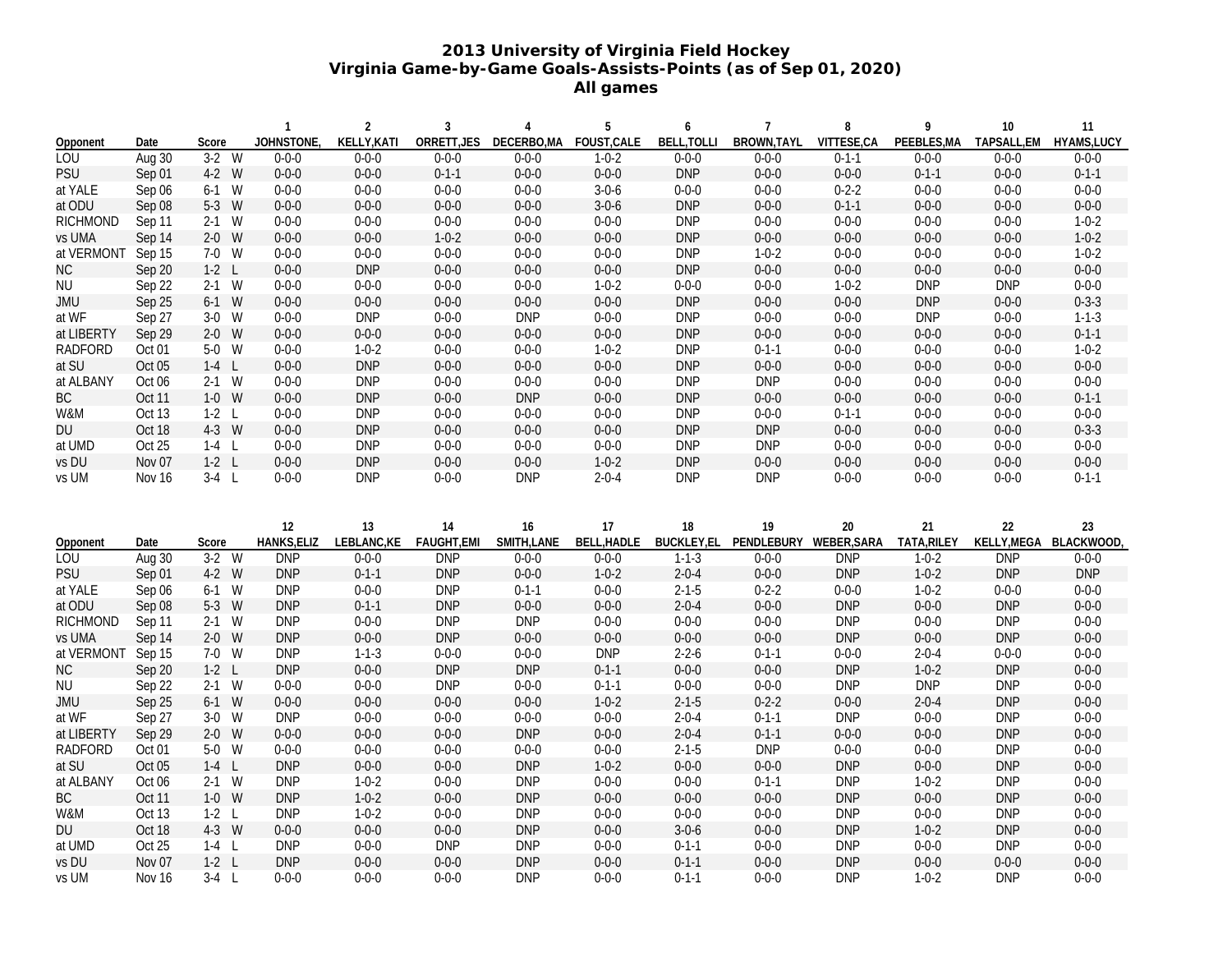## **2013 University of Virginia Field Hockey Virginia Game-by-Game Goals-Assists-Points (as of Sep 01, 2020) All games**

|                 |                   |                    | $\mathbf{1}$              | $\overline{2}$             | 3                          | 4                        | 5                          | 6                          | $\overline{7}$             | 8                        | 9                          | 10                        | 11                         |
|-----------------|-------------------|--------------------|---------------------------|----------------------------|----------------------------|--------------------------|----------------------------|----------------------------|----------------------------|--------------------------|----------------------------|---------------------------|----------------------------|
| Opponent        | Date              | Score              | JOHNSTONE                 | KELLY, KATI                | ORRETT, JES                | DECERBO, MA              | FOUST, CALE                | <b>BELL, TOLLI</b>         | BROWN, TAYL                | VITTESE,CA               | PEEBLES, MA                | TAPSALL,EM                | HYAMS, LUCY                |
| <b>LOU</b>      | Aug 30            | $3-2$ W            | $0 - 0 - 0$               | $0 - 0 - 0$                | $0 - 0 - 0$                | $0 - 0 - 0$              | $1 - 0 - 2$                | $0 - 0 - 0$                | $0 - 0 - 0$                | $0 - 1 - 1$              | $0 - 0 - 0$                | $0 - 0 - 0$               | $0 - 0 - 0$                |
| <b>PSU</b>      | Sep 01            | 4-2 W              | $0 - 0 - 0$               | $0 - 0 - 0$                | $0 - 1 - 1$                | $0 - 0 - 0$              | $0 - 0 - 0$                | <b>DNP</b>                 | $0 - 0 - 0$                | $0 - 0 - 0$              | $0 - 1 - 1$                | $0 - 0 - 0$               | $0 - 1 - 1$                |
| at YALE         | Sep 06            | $6-1$ W            | $0 - 0 - 0$               | $0 - 0 - 0$                | $0 - 0 - 0$                | $0 - 0 - 0$              | $3 - 0 - 6$                | $0 - 0 - 0$                | $0 - 0 - 0$                | $0 - 2 - 2$              | $0 - 0 - 0$                | $0 - 0 - 0$               | $0 - 0 - 0$                |
| at ODU          | Sep 08            | 5-3 W              | $0 - 0 - 0$               | $0 - 0 - 0$                | $0 - 0 - 0$                | $0 - 0 - 0$              | $3 - 0 - 6$                | <b>DNP</b>                 | $0 - 0 - 0$                | $0 - 1 - 1$              | $0 - 0 - 0$                | $0 - 0 - 0$               | $0 - 0 - 0$                |
| <b>RICHMOND</b> | Sep 11            | $2-1$ W            | $0 - 0 - 0$               | $0 - 0 - 0$                | $0 - 0 - 0$                | $0 - 0 - 0$              | $0 - 0 - 0$                | <b>DNP</b>                 | $0 - 0 - 0$                | $0 - 0 - 0$              | $0 - 0 - 0$                | $0 - 0 - 0$               | $1 - 0 - 2$                |
| vs UMA          | Sep 14            | $2-0$ W            | $0 - 0 - 0$               | $0 - 0 - 0$                | $1 - 0 - 2$                | $0 - 0 - 0$              | $0 - 0 - 0$                | <b>DNP</b>                 | $0 - 0 - 0$                | $0 - 0 - 0$              | $0 - 0 - 0$                | $0 - 0 - 0$               | $1 - 0 - 2$                |
| at VERMONT      | Sep 15            | 7-0 W              | $0 - 0 - 0$               | $0 - 0 - 0$                | $0 - 0 - 0$                | $0 - 0 - 0$              | $0 - 0 - 0$                | <b>DNP</b>                 | $1 - 0 - 2$                | $0 - 0 - 0$              | $0 - 0 - 0$                | $0 - 0 - 0$               | $1 - 0 - 2$                |
| <b>NC</b>       | Sep 20            | $1-2$ L            | $0 - 0 - 0$               | <b>DNP</b>                 | $0 - 0 - 0$                | $0 - 0 - 0$              | $0 - 0 - 0$                | <b>DNP</b>                 | $0 - 0 - 0$                | $0 - 0 - 0$              | $0 - 0 - 0$                | $0 - 0 - 0$               | $0 - 0 - 0$                |
| <b>NU</b>       | Sep 22            | $2-1$ W            | $0 - 0 - 0$               | $0 - 0 - 0$                | $0 - 0 - 0$                | $0 - 0 - 0$              | $1 - 0 - 2$                | $0 - 0 - 0$                | $0 - 0 - 0$                | $1 - 0 - 2$              | <b>DNP</b>                 | <b>DNP</b>                | $0 - 0 - 0$                |
| <b>JMU</b>      | Sep 25            | $6-1$ W            | $0 - 0 - 0$               | $0 - 0 - 0$                | $0 - 0 - 0$                | $0 - 0 - 0$              | $0 - 0 - 0$                | <b>DNP</b>                 | $0 - 0 - 0$                | $0 - 0 - 0$              | <b>DNP</b>                 | $0 - 0 - 0$               | $0 - 3 - 3$                |
| at WF           | Sep 27            | $3-0$ W            | $0 - 0 - 0$               | <b>DNP</b>                 | $0 - 0 - 0$                | <b>DNP</b>               | $0 - 0 - 0$                | <b>DNP</b>                 | $0 - 0 - 0$                | $0 - 0 - 0$              | <b>DNP</b>                 | $0 - 0 - 0$               | $1 - 1 - 3$                |
| at LIBERTY      | Sep 29            | $2-0$ W            | $0 - 0 - 0$               | $0 - 0 - 0$                | $0 - 0 - 0$                | $0 - 0 - 0$              | $0 - 0 - 0$                | <b>DNP</b>                 | $0 - 0 - 0$                | $0 - 0 - 0$              | $0 - 0 - 0$                | $0 - 0 - 0$               | $0 - 1 - 1$                |
| <b>RADFORD</b>  | Oct <sub>01</sub> | 5-0 W              | $0 - 0 - 0$               | $1 - 0 - 2$                | $0 - 0 - 0$                | $0 - 0 - 0$              | $1 - 0 - 2$                | <b>DNP</b>                 | $0 - 1 - 1$                | $0 - 0 - 0$              | $0 - 0 - 0$                | $0 - 0 - 0$               | $1 - 0 - 2$                |
| at SU           | Oct 05            | $1-4$ L            | $0 - 0 - 0$               | <b>DNP</b>                 | $0 - 0 - 0$                | $0 - 0 - 0$              | $0 - 0 - 0$                | <b>DNP</b>                 | $0 - 0 - 0$                | $0 - 0 - 0$              | $0 - 0 - 0$                | $0 - 0 - 0$               | $0 - 0 - 0$                |
| at ALBANY       | Oct 06            | $2-1$ W            | $0 - 0 - 0$               | <b>DNP</b>                 | $0 - 0 - 0$                | $0 - 0 - 0$              | $0 - 0 - 0$                | <b>DNP</b>                 | <b>DNP</b>                 | $0 - 0 - 0$              | $0 - 0 - 0$                | $0 - 0 - 0$               | $0 - 0 - 0$                |
| ВC              | Oct 11            | $1-0$ W            | $0 - 0 - 0$               | <b>DNP</b>                 | $0 - 0 - 0$                | <b>DNP</b>               | $0 - 0 - 0$                | <b>DNP</b>                 | $0 - 0 - 0$                | $0 - 0 - 0$              | $0 - 0 - 0$                | $0 - 0 - 0$               | $0 - 1 - 1$                |
| W&M             | <b>Oct 13</b>     | $1-2$ L            | $0 - 0 - 0$               | <b>DNP</b>                 | $0 - 0 - 0$                | $0 - 0 - 0$              | $0 - 0 - 0$                | <b>DNP</b>                 | $0 - 0 - 0$                | $0 - 1 - 1$              | $0 - 0 - 0$                | $0 - 0 - 0$               | $0 - 0 - 0$                |
| DU              | Oct 18            | 4-3 W              | $0 - 0 - 0$               | <b>DNP</b>                 | $0 - 0 - 0$                | $0 - 0 - 0$              | $0 - 0 - 0$                | <b>DNP</b>                 | <b>DNP</b>                 | $0 - 0 - 0$              | $0 - 0 - 0$                | $0 - 0 - 0$               | $0 - 3 - 3$                |
| at UMD          | Oct 25            | $1-4$ L            | $0 - 0 - 0$               | <b>DNP</b>                 | $0 - 0 - 0$                | $0 - 0 - 0$              | $0 - 0 - 0$                | <b>DNP</b>                 | <b>DNP</b>                 | $0 - 0 - 0$              | $0 - 0 - 0$                | $0 - 0 - 0$               | $0 - 0 - 0$                |
| vs DU           | Nov 07            | $1-2$ L            | $0 - 0 - 0$               | <b>DNP</b>                 | $0 - 0 - 0$                | $0 - 0 - 0$              | $1 - 0 - 2$                | <b>DNP</b>                 | $0 - 0 - 0$                | $0 - 0 - 0$              | $0 - 0 - 0$                | $0 - 0 - 0$               | $0 - 0 - 0$                |
| vs UM           | Nov 16            | $3-4$ L            | $0 - 0 - 0$               | <b>DNP</b>                 | $0 - 0 - 0$                | <b>DNP</b>               | $2 - 0 - 4$                | <b>DNP</b>                 | <b>DNP</b>                 | $0 - 0 - 0$              | $0 - 0 - 0$                | $0 - 0 - 0$               | $0 - 1 - 1$                |
|                 |                   |                    |                           |                            |                            |                          |                            |                            |                            |                          |                            |                           |                            |
|                 |                   |                    |                           |                            |                            |                          |                            |                            |                            |                          |                            |                           |                            |
|                 |                   |                    | 12                        | $13$                       | 14                         | 16                       | 17                         | 18                         | 19                         | 20                       | 21                         | 22                        | 23                         |
| Opponent        | Date              | Score              | HANKS, ELIZ               | LEBLANC, KE                | FAUGHT, EMI                | SMITH, LANE              | BELL, HADLE                | <b>BUCKLEY,EL</b>          | PENDLEBURY                 | WEBER, SARA              | TATA, RILEY                | KELLY, MEGA BLACKWOOD     |                            |
| <b>LOU</b>      | Aug 30            | $3-2$ W            | DNP                       | $0 - 0 - 0$                | DNP                        | $0 - 0 - 0$              | $0 - 0 - 0$                | $1 - 1 - 3$                | $0 - 0 - 0$                | DNP                      | $1 - 0 - 2$                | DNP                       | $0 - 0 - 0$                |
| <b>PSU</b>      | Sep 01            | 4-2 W              | <b>DNP</b>                | $0 - 1 - 1$                | <b>DNP</b>                 | $0 - 0 - 0$              | $1 - 0 - 2$                | $2 - 0 - 4$                | $0 - 0 - 0$                | <b>DNP</b>               | $1 - 0 - 2$                | <b>DNP</b>                | <b>DNP</b>                 |
| at YALE         | Sep 06            | $6-1$ W            | <b>DNP</b>                | $0 - 0 - 0$                | <b>DNP</b>                 | $0 - 1 - 1$              | $0 - 0 - 0$                | $2 - 1 - 5$                | $0 - 2 - 2$                | $0 - 0 - 0$              | $1 - 0 - 2$                | $0 - 0 - 0$               | $0 - 0 - 0$                |
| at ODU          | Sep 08            | 5-3 W              | <b>DNP</b>                | $0 - 1 - 1$                | <b>DNP</b>                 | $0 - 0 - 0$              | $0 - 0 - 0$                | $2 - 0 - 4$                | $0 - 0 - 0$                | <b>DNP</b>               | $0 - 0 - 0$                | <b>DNP</b>                | $0 - 0 - 0$                |
| <b>RICHMOND</b> | Sep 11            | $2-1$ W            | <b>DNP</b>                | $0 - 0 - 0$                | <b>DNP</b>                 | <b>DNP</b>               | $0 - 0 - 0$                | $0 - 0 - 0$                | $0 - 0 - 0$                | <b>DNP</b>               | $0 - 0 - 0$                | <b>DNP</b>                | $0 - 0 - 0$                |
| vs UMA          | Sep 14            | $2-0$ W            | <b>DNP</b>                | $0 - 0 - 0$                | <b>DNP</b>                 | $0 - 0 - 0$              | $0 - 0 - 0$                | $0 - 0 - 0$                | $0 - 0 - 0$                | <b>DNP</b>               | $0 - 0 - 0$                | <b>DNP</b>                | $0 - 0 - 0$                |
| at VERMONT      | Sep 15            | 7-0 W              | <b>DNP</b>                | $1 - 1 - 3$                | $0 - 0 - 0$                | $0 - 0 - 0$              | <b>DNP</b>                 | $2 - 2 - 6$                | $0 - 1 - 1$                | $0 - 0 - 0$              | $2 - 0 - 4$                | $0 - 0 - 0$               | $0 - 0 - 0$                |
| <b>NC</b>       | Sep 20            | $1-2$ L            | <b>DNP</b>                | $0 - 0 - 0$                | <b>DNP</b>                 | <b>DNP</b>               | $0 - 1 - 1$                | $0 - 0 - 0$                | $0 - 0 - 0$                | <b>DNP</b>               | $1 - 0 - 2$                | <b>DNP</b>                | $0 - 0 - 0$                |
| <b>NU</b>       | Sep 22            | $2-1$ W            | $0 - 0 - 0$               | $0 - 0 - 0$                | <b>DNP</b>                 | $0 - 0 - 0$              | $0 - 1 - 1$                | $0 - 0 - 0$                | $0 - 0 - 0$                | <b>DNP</b>               | <b>DNP</b>                 | <b>DNP</b>                | $0 - 0 - 0$                |
| <b>JMU</b>      | Sep 25            | $6-1$ W            | $0 - 0 - 0$               | $0 - 0 - 0$                | $0 - 0 - 0$                | $0 - 0 - 0$              | $1 - 0 - 2$                | $2 - 1 - 5$                | $0 - 2 - 2$                | $0 - 0 - 0$              | $2 - 0 - 4$                | <b>DNP</b>                | $0 - 0 - 0$                |
| at WF           | Sep 27            | $3-0$ W            | <b>DNP</b>                | $0 - 0 - 0$                | $0 - 0 - 0$                | $0 - 0 - 0$              | $0 - 0 - 0$                | $2 - 0 - 4$                | $0 - 1 - 1$                | <b>DNP</b>               | $0 - 0 - 0$                | <b>DNP</b>                | $0 - 0 - 0$                |
| at LIBERTY      | Sep 29            | $2-0$ W            | $0 - 0 - 0$               | $0 - 0 - 0$                | $0 - 0 - 0$                | <b>DNP</b>               | $0 - 0 - 0$                | $2 - 0 - 4$                | $0 - 1 - 1$                | $0 - 0 - 0$              | $0 - 0 - 0$                | <b>DNP</b>                | $0 - 0 - 0$                |
| <b>RADFORD</b>  | Oct 01            | 5-0 W              | $0 - 0 - 0$               | $0 - 0 - 0$                | $0 - 0 - 0$                | $0 - 0 - 0$              | $0 - 0 - 0$                | $2 - 1 - 5$                | <b>DNP</b>                 | $0 - 0 - 0$              | $0 - 0 - 0$                | <b>DNP</b>                | $0 - 0 - 0$                |
| at SU           | Oct 05            | $1-4$ L            | <b>DNP</b>                | $0 - 0 - 0$                | $0 - 0 - 0$                | <b>DNP</b>               | $1 - 0 - 2$                | $0 - 0 - 0$                | $0 - 0 - 0$                | <b>DNP</b>               | $0 - 0 - 0$                | <b>DNP</b>                | $0 - 0 - 0$                |
| at ALBANY       | Oct 06            | $2-1$ W            | <b>DNP</b>                | $1 - 0 - 2$                | $0 - 0 - 0$                | <b>DNP</b>               | $0 - 0 - 0$                | $0 - 0 - 0$                | $0 - 1 - 1$                | <b>DNP</b>               | $1 - 0 - 2$                | <b>DNP</b>                | $0 - 0 - 0$                |
| BC              | <b>Oct 11</b>     | $1-0$ W            | <b>DNP</b>                | $1 - 0 - 2$                | $0 - 0 - 0$                | <b>DNP</b>               | $0 - 0 - 0$                | $0 - 0 - 0$                | $0 - 0 - 0$                | <b>DNP</b>               | $0 - 0 - 0$                | <b>DNP</b>                | $0 - 0 - 0$                |
| W&M             | Oct 13            | $1-2$ L            | <b>DNP</b>                | $1 - 0 - 2$                | $0 - 0 - 0$                | <b>DNP</b>               | $0 - 0 - 0$                | $0 - 0 - 0$                | $0 - 0 - 0$                | <b>DNP</b>               | $0 - 0 - 0$                | <b>DNP</b>                | $0 - 0 - 0$                |
|                 |                   |                    |                           |                            |                            |                          |                            |                            |                            |                          |                            |                           |                            |
| DU              | Oct 18            | 4-3 W              | $0 - 0 - 0$               | $0 - 0 - 0$                | $0 - 0 - 0$                | <b>DNP</b>               | $0 - 0 - 0$                | $3 - 0 - 6$                | $0 - 0 - 0$                | <b>DNP</b>               | $1 - 0 - 2$                | <b>DNP</b>                | $0 - 0 - 0$                |
| at UMD          | Oct 25            | $1-4$ L            | <b>DNP</b>                | $0 - 0 - 0$                | <b>DNP</b>                 | <b>DNP</b>               | $0 - 0 - 0$                | $0 - 1 - 1$                | $0 - 0 - 0$                | <b>DNP</b>               | $0 - 0 - 0$                | <b>DNP</b>                | $0 - 0 - 0$                |
| vs DU<br>vs UM  | Nov 07            | $1-2$ L<br>$3-4$ L | <b>DNP</b><br>$0 - 0 - 0$ | $0 - 0 - 0$<br>$0 - 0 - 0$ | $0 - 0 - 0$<br>$0 - 0 - 0$ | <b>DNP</b><br><b>DNP</b> | $0 - 0 - 0$<br>$0 - 0 - 0$ | $0 - 1 - 1$<br>$0 - 1 - 1$ | $0 - 0 - 0$<br>$0 - 0 - 0$ | <b>DNP</b><br><b>DNP</b> | $0 - 0 - 0$<br>$1 - 0 - 2$ | $0 - 0 - 0$<br><b>DNP</b> | $0 - 0 - 0$<br>$0 - 0 - 0$ |